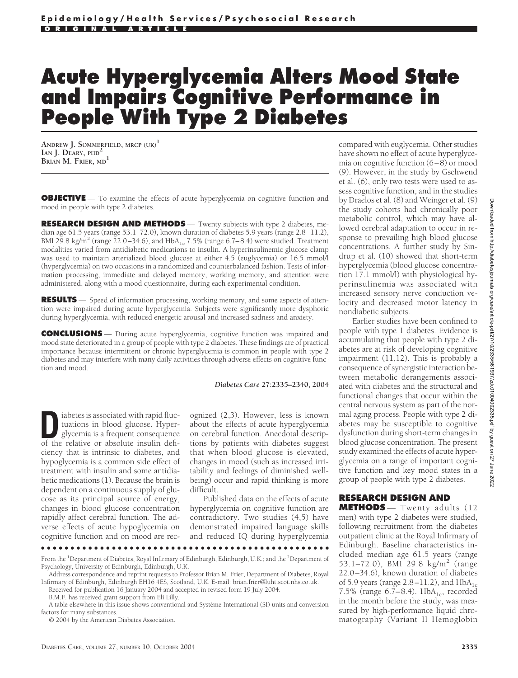# **Acute Hyperglycemia Alters Mood State and Impairs Cognitive Performance in People With Type 2 Diabetes**

**ANDREW J. SOMMERFIELD, MRCP (UK)<sup>1</sup> IAN J. DEARY, PHD<sup>2</sup> BRIAN M. FRIER, MD<sup>1</sup>**

**OBJECTIVE** — To examine the effects of acute hyperglycemia on cognitive function and mood in people with type 2 diabetes.

**RESEARCH DESIGN AND METHODS** — Twenty subjects with type 2 diabetes, median age 61.5 years (range 53.1–72.0), known duration of diabetes 5.9 years (range 2.8–11.2), BMI 29.8 kg/m<sup>2</sup> (range 22.0–34.6), and  $HbA_{1c}$  7.5% (range 6.7–8.4) were studied. Treatment modalities varied from antidiabetic medications to insulin. A hyperinsulinemic glucose clamp was used to maintain arterialized blood glucose at either 4.5 (euglycemia) or 16.5 mmol/l (hyperglycemia) on two occasions in a randomized and counterbalanced fashion. Tests of information processing, immediate and delayed memory, working memory, and attention were administered, along with a mood questionnaire, during each experimental condition.

**RESULTS** — Speed of information processing, working memory, and some aspects of attention were impaired during acute hyperglycemia. Subjects were significantly more dysphoric during hyperglycemia, with reduced energetic arousal and increased sadness and anxiety.

**CONCLUSIONS** — During acute hyperglycemia, cognitive function was impaired and mood state deteriorated in a group of people with type 2 diabetes. These findings are of practical importance because intermittent or chronic hyperglycemia is common in people with type 2 diabetes and may interfere with many daily activities through adverse effects on cognitive function and mood.

#### *Diabetes Care* **27:2335–2340, 2004**

iabetes is associated with rapid fluctuations in blood glucose. Hyperglycemia is a frequent consequence of the relative or absolute insulin defituations in blood glucose. Hyperof the relative or absolute insulin deficiency that is intrinsic to diabetes, and hypoglycemia is a common side effect of treatment with insulin and some antidiabetic medications (1). Because the brain is dependent on a continuous supply of glucose as its principal source of energy, changes in blood glucose concentration rapidly affect cerebral function. The adverse effects of acute hypoglycemia on cognitive function and on mood are rec-

ognized (2,3). However, less is known about the effects of acute hyperglycemia on cerebral function. Anecdotal descriptions by patients with diabetes suggest that when blood glucose is elevated, changes in mood (such as increased irritability and feelings of diminished wellbeing) occur and rapid thinking is more difficult.

Published data on the effects of acute hyperglycemia on cognitive function are contradictory. Two studies (4,5) have demonstrated impaired language skills and reduced IQ during hyperglycemia

●●●●●●●●●●●●●●●●●●●●●●●●●●●●●●●●●●●●●●●●●●●●●●●●●

© 2004 by the American Diabetes Association.

compared with euglycemia. Other studies have shown no effect of acute hyperglycemia on cognitive function (6–8) or mood (9). However, in the study by Gschwend et al. (6), only two tests were used to assess cognitive function, and in the studies by Draelos et al. (8) and Weinger et al. (9) the study cohorts had chronically poor metabolic control, which may have allowed cerebral adaptation to occur in response to prevailing high blood glucose concentrations. A further study by Sindrup et al. (10) showed that short-term hyperglycemia (blood glucose concentration 17.1 mmol/l) with physiological hyperinsulinemia was associated with increased sensory nerve conduction velocity and decreased motor latency in nondiabetic subjects.

Earlier studies have been confined to people with type 1 diabetes. Evidence is accumulating that people with type 2 diabetes are at risk of developing cognitive impairment (11,12). This is probably a consequence of synergistic interaction between metabolic derangements associated with diabetes and the structural and functional changes that occur within the central nervous system as part of the normal aging process. People with type 2 diabetes may be susceptible to cognitive dysfunction during short-term changes in blood glucose concentration. The present study examined the effects of acute hyperglycemia on a range of important cognitive function and key mood states in a group of people with type 2 diabetes.

# **RESEARCH DESIGN AND**

**METHODS** — Twenty adults (12 men) with type 2 diabetes were studied, following recruitment from the diabetes outpatient clinic at the Royal Infirmary of Edinburgh. Baseline characteristics included median age 61.5 years (range 53.1–72.0), BMI 29.8 kg/m<sup>2</sup> (range 22.0–34.6), known duration of diabetes of 5.9 years (range  $2.8-11.2$ ), and  $HbA<sub>1c</sub>$ 7.5% (range 6.7–8.4).  $HbA_{1c}$ , recorded in the month before the study, was measured by high-performance liquid chromatography (Variant II Hemoglobin

From the <sup>1</sup>Department of Diabetes, Royal Infirmary of Edinburgh, Edinburgh, U.K.; and the <sup>2</sup>Department of Psychology, University of Edinburgh, Edinburgh, U.K.

Address correspondence and reprint requests to Professor Brian M. Frier, Department of Diabetes, Royal Infirmary of Edinburgh, Edinburgh EH16 4ES, Scotland, U.K. E-mail: brian.frier@luht.scot.nhs.co.uk.

Received for publication 16 January 2004 and accepted in revised form 19 July 2004.

B.M.F. has received grant support from Eli Lilly.

A table elsewhere in this issue shows conventional and Système International (SI) units and conversion factors for many substances.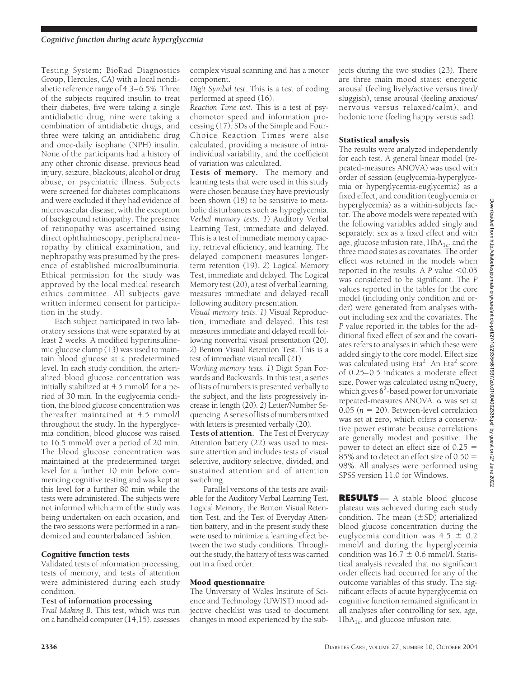Testing System; BioRad Diagnostics Group, Hercules, CA) with a local nondiabetic reference range of 4.3–6.5%. Three of the subjects required insulin to treat their diabetes, five were taking a single antidiabetic drug, nine were taking a combination of antidiabetic drugs, and three were taking an antidiabetic drug and once-daily isophane (NPH) insulin. None of the participants had a history of any other chronic disease, previous head injury, seizure, blackouts, alcohol or drug abuse, or psychiatric illness. Subjects were screened for diabetes complications and were excluded if they had evidence of microvascular disease, with the exception of background retinopathy. The presence of retinopathy was ascertained using direct ophthalmoscopy, peripheral neuropathy by clinical examination, and nephropathy was presumed by the presence of established microalbuminuria. Ethical permission for the study was approved by the local medical research ethics committee. All subjects gave written informed consent for participation in the study.

Each subject participated in two laboratory sessions that were separated by at least 2 weeks. A modified hyperinsulinemic glucose clamp (13) was used to maintain blood glucose at a predetermined level. In each study condition, the arterialized blood glucose concentration was initially stabilized at 4.5 mmol/l for a period of 30 min. In the euglycemia condition, the blood glucose concentration was thereafter maintained at 4.5 mmol/l throughout the study. In the hyperglycemia condition, blood glucose was raised to 16.5 mmol/l over a period of 20 min. The blood glucose concentration was maintained at the predetermined target level for a further 10 min before commencing cognitive testing and was kept at this level for a further 80 min while the tests were administered. The subjects were not informed which arm of the study was being undertaken on each occasion, and the two sessions were performed in a randomized and counterbalanced fashion.

### Cognitive function tests

Validated tests of information processing, tests of memory, and tests of attention were administered during each study condition.

#### **Test of information processing**

*Trail Making B*. This test, which was run on a handheld computer (14,15), assesses

complex visual scanning and has a motor component.

*Digit Symbol test*. This is a test of coding performed at speed (16).

*Reaction Time test*. This is a test of psychomotor speed and information processing (17). SDs of the Simple and Four-Choice Reaction Times were also calculated, providing a measure of intraindividual variability, and the coefficient of variation was calculated.

**Tests of memory.** The memory and learning tests that were used in this study were chosen because they have previously been shown (18) to be sensitive to metabolic disturbances such as hypoglycemia. *Verbal memory tests*. *1*) Auditory Verbal Learning Test, immediate and delayed. This is a test of immediate memory capacity, retrieval efficiency, and learning. The delayed component measures longerterm retention (19). *2*) Logical Memory Test, immediate and delayed. The Logical Memory test (20), a test of verbal learning, measures immediate and delayed recall following auditory presentation.

*Visual memory tests*. *1*) Visual Reproduction, immediate and delayed. This test measures immediate and delayed recall following nonverbal visual presentation (20). *2*) Benton Visual Retention Test. This is a test of immediate visual recall (21).

*Working memory tests*. *1*) Digit Span Forwards and Backwards. In this test, a series of lists of numbers is presented verbally to the subject, and the lists progressively increase in length (20). *2*) Letter/Number Sequencing. A series of lists of numbers mixed with letters is presented verbally (20).

**Tests of attention.** The Test of Everyday Attention battery (22) was used to measure attention and includes tests of visual selective, auditory selective, divided, and sustained attention and of attention switching.

Parallel versions of the tests are available for the Auditory Verbal Learning Test, Logical Memory, the Benton Visual Retention Test, and the Test of Everyday Attention battery, and in the present study these were used to minimize a learning effect between the two study conditions. Throughout the study, the battery of tests was carried out in a fixed order.

### Mood questionnaire

The University of Wales Institute of Science and Technology (UWIST) mood adjective checklist was used to document changes in mood experienced by the subjects during the two studies (23). There are three main mood states: energetic arousal (feeling lively/active versus tired/ sluggish), tense arousal (feeling anxious/ nervous versus relaxed/calm), and hedonic tone (feeling happy versus sad).

## Statistical analysis

The results were analyzed independently for each test. A general linear model (repeated-measures ANOVA) was used with order of session (euglycemia-hyperglycemia or hyperglycemia-euglycemia) as a fixed effect, and condition (euglycemia or hyperglycemia) as a within-subjects factor. The above models were repeated with the following variables added singly and separately: sex as a fixed effect and with age, glucose infusion rate,  $HbA<sub>1c</sub>$ , and the three mood states as covariates. The order effect was retained in the models when reported in the results. A  $P$  value  $\leq 0.05$ was considered to be significant. The *P* values reported in the tables for the core model (including only condition and order) were generated from analyses without including sex and the covariates. The *P* value reported in the tables for the additional fixed effect of sex and the covariates refers to analyses in which these were added singly to the core model. Effect size was calculated using Eta<sup>2</sup>. An Eta<sup>2</sup> score of 0.25–0.5 indicates a moderate effect size. Power was calculated using nQuery, which gives  $\delta^2$ -based power for univariate repeated-measures ANOVA.  $\alpha$  was set at  $0.05$  ( $n = 20$ ). Between-level correlation was set at zero, which offers a conservative power estimate because correlations are generally modest and positive. The power to detect an effect size of 0.25  $85\%$  and to detect an effect size of 0.50  $=$ 98%. All analyses were performed using SPSS version 11.0 for Windows.

**RESULTS** — A stable blood glucose plateau was achieved during each study condition. The mean  $(\pm SD)$  arterialized blood glucose concentration during the euglycemia condition was  $4.5 \pm 0.2$ mmol/l and during the hyperglycemia condition was  $16.7 \pm 0.6$  mmol/l. Statistical analysis revealed that no significant order effects had occurred for any of the outcome variables of this study. The significant effects of acute hyperglycemia on cognitive function remained significant in all analyses after controlling for sex, age,  $HbA_{1c}$ , and glucose infusion rate.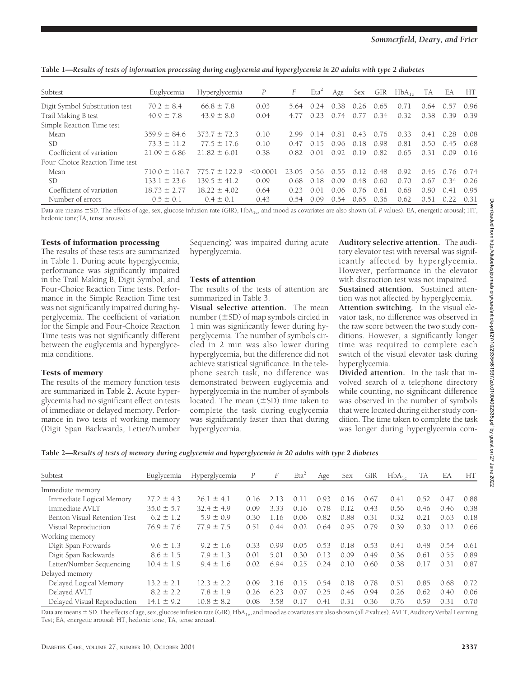**Table 1—***Results of tests of information processing during euglycemia and hyperglycemia in 20 adults with type 2 diabetes*

| Subtest                        | Euglycemia        | Hyperglycemia     | P         | F     | Eta <sup>2</sup> | Age  | Sex  | GIR  | $HbA_{1c}$ | TA   | EA    | HT   |
|--------------------------------|-------------------|-------------------|-----------|-------|------------------|------|------|------|------------|------|-------|------|
| Digit Symbol Substitution test | $70.2 \pm 8.4$    | $66.8 \pm 7.8$    | 0.03      | 5.64  | 0.24             | 0.38 | 0.26 | 0.65 | 0.71       | 0.64 | 0.57  | 0.96 |
| Trail Making B test            | $40.9 \pm 7.8$    | $43.9 \pm 8.0$    | 0.04      | 4.77  |                  | 0.74 | 0.77 | 0.34 | 0.32       | 0.38 | 0.39  | 0.39 |
| Simple Reaction Time test      |                   |                   |           |       |                  |      |      |      |            |      |       |      |
| Mean                           | $359.9 \pm 84.6$  | $373.7 \pm 72.3$  | 0.10      | 2.99  | 14<br>$\Omega$   | 0.81 | 0.43 | 0.76 | 0.33       | 0.41 | 0.28  | 0.08 |
| SD                             | $73.3 \pm 11.2$   | $77.5 \pm 17.6$   | 0.10      | 0.47  | 15               | 096  | 0.18 | 0.98 | 0.81       | 0.50 | 0.45  | 0.68 |
| Coefficient of variation       | $21.09 \pm 6.86$  | $21.82 \pm 6.01$  | 0.38      | 0.82  | 0.01             | 0.92 | 0.19 | 0.82 | 0.65       | 0.31 | 0.09  | 0.16 |
| Four-Choice Reaction Time test |                   |                   |           |       |                  |      |      |      |            |      |       |      |
| Mean                           | $710.0 \pm 116.7$ | $775.7 \pm 122.9$ | $<$ 0.000 | 23.05 | 0.56             | O 55 | 0.12 | 0.48 | 0.92       | 0.46 | 0.76  | 0.74 |
| .SD                            | $133.1 \pm 23.6$  | $139.5 \pm 41.2$  | 0.09      | 0.68  | 0.18             | 0.09 | 0.48 | 0.60 | 0.70       | 0.67 | 0.34  | 0.26 |
| Coefficient of variation       | $18.73 \pm 2.77$  | $18.22 \pm 4.02$  | 0.64      | 0.23  | 0 Q 1            | 0.06 | 0.76 | 0.61 | 0.68       | 0.80 | (141) | 0.95 |
| Number of errors               | $0.5 \pm 0.1$     | $0.4 \pm 0.1$     | 0.43      | 0.54  | 0.09             | 0.54 | 0.65 | 0.36 | 0.62       | 0.51 | 0.22  | 0.31 |

Data are means ±SD. The effects of age, sex, glucose infusion rate (GIR), HbA<sub>1c</sub>, and mood as covariates are also shown (all *P* values). EA, energetic arousal; HT, hedonic tone;TA, tense arousal.

# Tests of information processing

The results of these tests are summarized in Table 1. During acute hyperglycemia, performance was significantly impaired in the Trail Making B, Digit Symbol, and Four-Choice Reaction Time tests. Performance in the Simple Reaction Time test was not significantly impaired during hyperglycemia. The coefficient of variation for the Simple and Four-Choice Reaction Time tests was not significantly different between the euglycemia and hyperglycemia conditions.

# Tests of memory

The results of the memory function tests are summarized in Table 2. Acute hyperglycemia had no significant effect on tests of immediate or delayed memory. Performance in two tests of working memory (Digit Span Backwards, Letter/Number

Sequencing) was impaired during acute hyperglycemia.

# Tests of attention

The results of the tests of attention are summarized in Table 3.

**Visual selective attention.** The mean number  $(\pm SD)$  of map symbols circled in 1 min was significantly fewer during hyperglycemia. The number of symbols circled in 2 min was also lower during hyperglycemia, but the difference did not achieve statistical significance. In the telephone search task, no difference was demonstrated between euglycemia and hyperglycemia in the number of symbols located. The mean  $(\pm SD)$  time taken to complete the task during euglycemia was significantly faster than that during hyperglycemia.

**Auditory selective attention.** The auditory elevator test with reversal was significantly affected by hyperglycemia. However, performance in the elevator with distraction test was not impaired. **Sustained attention.** Sustained attention was not affected by hyperglycemia. **Attention switching.** In the visual elevator task, no difference was observed in the raw score between the two study conditions. However, a significantly longer time was required to complete each switch of the visual elevator task during hyperglycemia.

**Divided attention.** In the task that involved search of a telephone directory while counting, no significant difference was observed in the number of symbols that were located during either study condition. The time taken to complete the task was longer during hyperglycemia com-

**Table 2—***Results of tests of memory during euglycemia and hyperglycemia in 20 adults with type 2 diabetes*

| Subtest                      | Euglycemia     | Hyperglycemia  | P    | F    | Eta <sup>2</sup> | Age  | Sex  | GIR  | $HbA_{1c}$ | <b>TA</b> | EA   | HT.  |
|------------------------------|----------------|----------------|------|------|------------------|------|------|------|------------|-----------|------|------|
| Immediate memory             |                |                |      |      |                  |      |      |      |            |           |      |      |
| Immediate Logical Memory     | $27.2 \pm 4.3$ | $26.1 \pm 4.1$ | 0.16 | 2.13 | 0.11             | 0.93 | 0.16 | 0.67 | 0.41       | 0.52      | 0.47 | 0.88 |
| Immediate AVLT               | $35.0 \pm 5.7$ | $32.4 \pm 4.9$ | 0.09 | 3.33 | 0.16             | 0.78 | 0.12 | 0.43 | 0.56       | 0.46      | 0.46 | 0.38 |
| Benton Visual Retention Test | $6.2 \pm 1.2$  | $5.9 \pm 0.9$  | 0.30 | 1.16 | 0.06             | 0.82 | 0.88 | 0.31 | 0.32       | 0.21      | 0.63 | 0.18 |
| Visual Reproduction          | $76.9 \pm 7.6$ | $77.9 \pm 7.5$ | 0.51 | 0.44 | 0.02             | 0.64 | 0.95 | 0.79 | 0.39       | 0.30      | 0.12 | 0.66 |
| Working memory               |                |                |      |      |                  |      |      |      |            |           |      |      |
| Digit Span Forwards          | $9.6 \pm 1.3$  | $9.2 \pm 1.6$  | 0.33 | 0.99 | 0.05             | 0.53 | 0.18 | 0.53 | 0.41       | 0.48      | 0.54 | 0.61 |
| Digit Span Backwards         | $8.6 \pm 1.5$  | $7.9 \pm 1.3$  | 0.01 | 5.01 | 0.30             | 0.13 | 0.09 | 0.49 | 0.36       | 0.61      | 0.55 | 0.89 |
| Letter/Number Sequencing     | $10.4 \pm 1.9$ | $9.4 \pm 1.6$  | 0.02 | 6.94 | 0.25             | 0.24 | 0.10 | 0.60 | 0.38       | 0.17      | 0.31 | 0.87 |
| Delayed memory               |                |                |      |      |                  |      |      |      |            |           |      |      |
| Delayed Logical Memory       | $13.2 \pm 2.1$ | $12.3 \pm 2.2$ | 0.09 | 3.16 | 0.15             | 0.54 | 0.18 | 0.78 | 0.51       | 0.85      | 0.68 | 0.72 |
| Delayed AVLT                 | $8.2 \pm 2.2$  | $7.8 \pm 1.9$  | 0.26 | 6.23 | 0.07             | 0.25 | 0.46 | 0.94 | 0.26       | 0.62      | 0.40 | 0.06 |
| Delayed Visual Reproduction  | $14.1 \pm 9.2$ | $10.8 \pm 8.2$ | 0.08 | 3.58 | 0.17             | 0.41 | 0.31 | 0.36 | 0.76       | 0.59      | 0.31 | 0.70 |

Data are means  $\pm$  SD. The effects of age, sex, glucose infusion rate (GIR), HbA<sub>1c</sub>, and mood as covariates are also shown (all *P* values). AVLT, Auditory Verbal Learning Test; EA, energetic arousal; HT, hedonic tone; TA, tense arousal.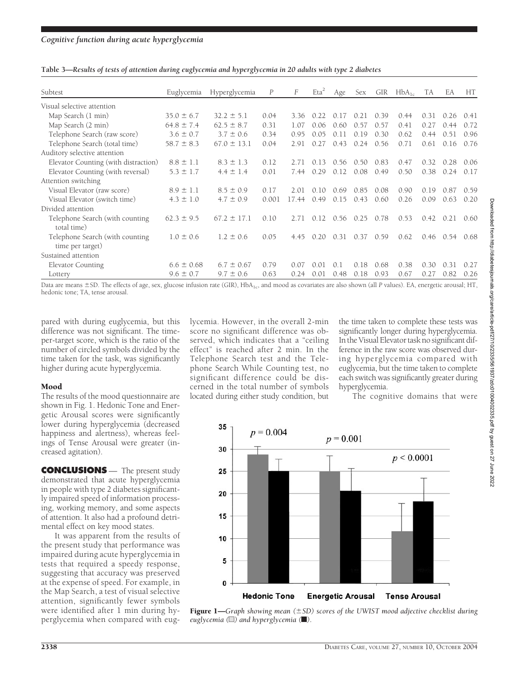| Subtest                                              | Euglycemia     | Hyperglycemia   | P     | F     | $Eta^2$ | Age  | Sex  | GIR  | $HbA_{1c}$ | TA.  | EA   | HT   |
|------------------------------------------------------|----------------|-----------------|-------|-------|---------|------|------|------|------------|------|------|------|
| Visual selective attention                           |                |                 |       |       |         |      |      |      |            |      |      |      |
| Map Search (1 min)                                   | $35.0 \pm 6.7$ | $32.2 \pm 5.1$  | 0.04  | 3.36  | 0.22    | 0.17 | 0.21 | 0.39 | 0.44       | 0.31 | 0.26 | 0.41 |
| Map Search (2 min)                                   | $64.8 \pm 7.4$ | $62.5 \pm 8.7$  | 0.31  | 1.07  | 0.06    | 0.60 | 0.57 | 0.57 | 0.41       | 0.27 | ()44 | 0.72 |
| Telephone Search (raw score)                         | $3.6 \pm 0.7$  | $3.7 \pm 0.6$   | 0.34  | 0.95  | 0.05    | 0.11 | 0.19 | 0.30 | 0.62       | 0.44 | 0.51 | 0.96 |
| Telephone Search (total time)                        | $58.7 \pm 8.3$ | $67.0 \pm 13.1$ | 0.04  | 2.91  | 0.27    | 0.43 | 0.24 | 0.56 | 0.71       | 0.61 | 0.16 | 0.76 |
| Auditory selective attention                         |                |                 |       |       |         |      |      |      |            |      |      |      |
| Elevator Counting (with distraction)                 | $8.8 \pm 1.1$  | $8.3 \pm 1.3$   | 0.12  | 2.71  | 013     | 0.56 | 0.50 | 0.83 | 0.47       | 0.32 | 0.28 | 0.06 |
| Elevator Counting (with reversal)                    | $5.3 \pm 1.7$  | $4.4 \pm 1.4$   | 0.01  | 7.44  | 0.29    | 0.12 | 0.08 | 0.49 | 0.50       | 0.38 | 0.24 | 0.17 |
| Attention switching                                  |                |                 |       |       |         |      |      |      |            |      |      |      |
| Visual Elevator (raw score)                          | $8.9 \pm 1.1$  | $8.5 \pm 0.9$   | 0.17  | 2.01  | 0.10    | 0.69 | 0.85 | 0.08 | 0.90       | 0.19 | 0.87 | 0.59 |
| Visual Elevator (switch time)                        | $4.3 \pm 1.0$  | $4.7 \pm 0.9$   | 0.001 | 17.44 | 0.49    | 0.15 | 0.43 | 0.60 | 0.26       | 0.09 | 0.63 | 0.20 |
| Divided attention                                    |                |                 |       |       |         |      |      |      |            |      |      |      |
| Telephone Search (with counting<br>total time)       | $62.3 \pm 9.5$ | $67.2 \pm 17.1$ | 0.10  | 2.71  | 0.12    | 0.56 | 0.25 | 0.78 | 0.53       | 0.42 | 0.21 | 0.60 |
| Telephone Search (with counting)<br>time per target) | $1.0 \pm 0.6$  | $1.2 \pm 0.6$   | 0.05  | 4.45  | 0.20    | 0.31 | 0.37 | 0.59 | 0.62       | 0.46 | 0.54 | 0.68 |
| Sustained attention                                  |                |                 |       |       |         |      |      |      |            |      |      |      |
| Elevator Counting                                    | $6.6 \pm 0.68$ | $6.7 \pm 0.67$  | 0.79  | 0.07  | 0.01    | 0.1  | 0.18 | 0.68 | 0.38       | 0.30 | 0.31 | 0.27 |
| Lottery                                              | $9.6 \pm 0.7$  | $9.7 \pm 0.6$   | 0.63  | 0.24  | 0.01    | 0.48 | 0.18 | 0.93 | 0.67       | 0.27 | 0.82 | 0.26 |

**Table 3—***Results of tests of attention during euglycemia and hyperglycemia in 20 adults with type 2 diabetes*

Data are means ±SD. The effects of age, sex, glucose infusion rate (GIR), HbA<sub>1c</sub>, and mood as covariates are also shown (all *P* values). EA, energetic arousal; HT, hedonic tone; TA, tense arousal.

pared with during euglycemia, but this difference was not significant. The timeper-target score, which is the ratio of the number of circled symbols divided by the time taken for the task, was significantly higher during acute hyperglycemia.

### Mood

The results of the mood questionnaire are shown in Fig. 1. Hedonic Tone and Energetic Arousal scores were significantly lower during hyperglycemia (decreased happiness and alertness), whereas feelings of Tense Arousal were greater (increased agitation).

**CONCLUSIONS** — The present study demonstrated that acute hyperglycemia in people with type 2 diabetes significantly impaired speed of information processing, working memory, and some aspects of attention. It also had a profound detrimental effect on key mood states.

It was apparent from the results of the present study that performance was impaired during acute hyperglycemia in tests that required a speedy response, suggesting that accuracy was preserved at the expense of speed. For example, in the Map Search, a test of visual selective attention, significantly fewer symbols were identified after 1 min during hyperglycemia when compared with euglycemia. However, in the overall 2-min score no significant difference was observed, which indicates that a "ceiling effect" is reached after 2 min. In the Telephone Search test and the Telephone Search While Counting test, no significant difference could be discerned in the total number of symbols located during either study condition, but

the time taken to complete these tests was significantly longer during hyperglycemia. In the Visual Elevator task no significant difference in the raw score was observed during hyperglycemia compared with euglycemia, but the time taken to complete each switch was significantly greater during hyperglycemia.

The cognitive domains that were



Figure 1—*Graph showing mean (SD) scores of the UWIST mood adjective checklist during euglycemia (*u*) and hyperglycemia (*f*).*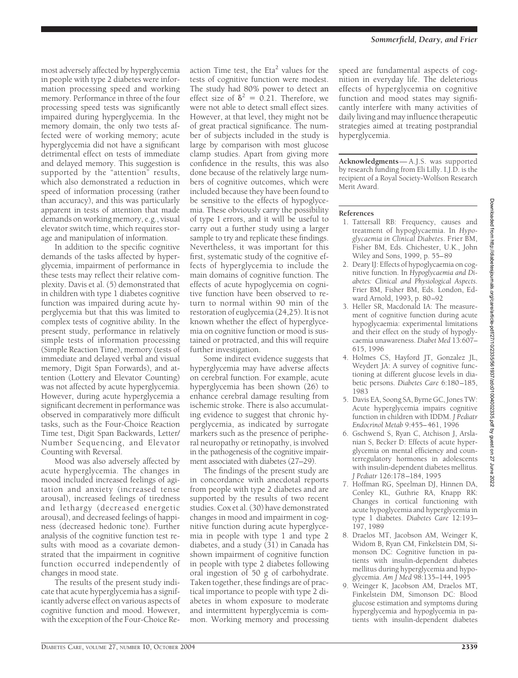most adversely affected by hyperglycemia in people with type 2 diabetes were information processing speed and working memory. Performance in three of the four processing speed tests was significantly impaired during hyperglycemia. In the memory domain, the only two tests affected were of working memory; acute hyperglycemia did not have a significant detrimental effect on tests of immediate and delayed memory. This suggestion is supported by the "attention" results, which also demonstrated a reduction in speed of information processing (rather than accuracy), and this was particularly apparent in tests of attention that made demands on working memory, e.g., visual elevator switch time, which requires storage and manipulation of information.

In addition to the specific cognitive demands of the tasks affected by hyperglycemia, impairment of performance in these tests may reflect their relative complexity. Davis et al. (5) demonstrated that in children with type 1 diabetes cognitive function was impaired during acute hyperglycemia but that this was limited to complex tests of cognitive ability. In the present study, performance in relatively simple tests of information processing (Simple Reaction Time), memory (tests of immediate and delayed verbal and visual memory, Digit Span Forwards), and attention (Lottery and Elevator Counting) was not affected by acute hyperglycemia. However, during acute hyperglycemia a significant decrement in performance was observed in comparatively more difficult tasks, such as the Four-Choice Reaction Time test, Digit Span Backwards, Letter/ Number Sequencing, and Elevator Counting with Reversal.

Mood was also adversely affected by acute hyperglycemia. The changes in mood included increased feelings of agitation and anxiety (increased tense arousal), increased feelings of tiredness and lethargy (decreased energetic arousal), and decreased feelings of happiness (decreased hedonic tone). Further analysis of the cognitive function test results with mood as a covariate demonstrated that the impairment in cognitive function occurred independently of changes in mood state.

The results of the present study indicate that acute hyperglycemia has a significantly adverse effect on various aspects of cognitive function and mood. However, with the exception of the Four-Choice Re-

action Time test, the  $Eta^2$  values for the tests of cognitive function were modest. The study had 80% power to detect an effect size of  $\delta^2 = 0.21$ . Therefore, we were not able to detect small effect sizes. However, at that level, they might not be of great practical significance. The number of subjects included in the study is large by comparison with most glucose clamp studies. Apart from giving more confidence in the results, this was also done because of the relatively large numbers of cognitive outcomes, which were included because they have been found to be sensitive to the effects of hypoglycemia. These obviously carry the possibility of type I errors, and it will be useful to carry out a further study using a larger sample to try and replicate these findings. Nevertheless, it was important for this first, systematic study of the cognitive effects of hyperglycemia to include the main domains of cognitive function. The effects of acute hypoglycemia on cognitive function have been observed to return to normal within 90 min of the restoration of euglycemia (24,25). It is not known whether the effect of hyperglycemia on cognitive function or mood is sustained or protracted, and this will require further investigation.

Some indirect evidence suggests that hyperglycemia may have adverse affects on cerebral function. For example, acute hyperglycemia has been shown (26) to enhance cerebral damage resulting from ischemic stroke. There is also accumulating evidence to suggest that chronic hyperglycemia, as indicated by surrogate markers such as the presence of peripheral neuropathy or retinopathy, is involved in the pathogenesis of the cognitive impairment associated with diabetes (27–29).

The findings of the present study are in concordance with anecdotal reports from people with type 2 diabetes and are supported by the results of two recent studies. Cox et al. (30) have demonstrated changes in mood and impairment in cognitive function during acute hyperglycemia in people with type 1 and type 2 diabetes, and a study (31) in Canada has shown impairment of cognitive function in people with type 2 diabetes following oral ingestion of 50 g of carbohydrate. Taken together, these findings are of practical importance to people with type 2 diabetes in whom exposure to moderate and intermittent hyperglycemia is common. Working memory and processing speed are fundamental aspects of cognition in everyday life. The deleterious effects of hyperglycemia on cognitive function and mood states may significantly interfere with many activities of daily living and may influence therapeutic strategies aimed at treating postprandial hyperglycemia.

**Acknowledgments**— A.J.S. was supported by research funding from Eli Lilly. I.J.D. is the recipient of a Royal Society-Wolfson Research Merit Award.

#### **References**

- 1. Tattersall RB: Frequency, causes and treatment of hypoglycaemia. In *Hypoglycaemia in Clinical Diabetes*. Frier BM, Fisher BM, Eds. Chichester, U.K., John Wiley and Sons, 1999, p. 55–89
- 2. Deary IJ: Effects of hypoglycaemia on cognitive function. In *Hypoglycaemia and Diabetes: Clinical and Physiological Aspects*. Frier BM, Fisher BM, Eds. London, Edward Arnold, 1993, p. 80–92
- 3. Heller SR, Macdonald IA: The measurement of cognitive function during acute hypoglycaemia: experimental limitations and their effect on the study of hypoglycaemia unawareness. *Diabet Med* 13:607– 615, 1996
- 4. Holmes CS, Hayford JT, Gonzalez JL, Weydert JA: A survey of cognitive functioning at different glucose levels in diabetic persons. *Diabetes Care* 6:180–185, 1983
- 5. Davis EA, Soong SA, Byrne GC, Jones TW: Acute hyperglycemia impairs cognitive function in children with IDDM. *J Pediatr Endocrinol Metab* 9:455–461, 1996
- 6. Gschwend S, Ryan C, Atchison J, Arslanian S, Becker D: Effects of acute hyperglycemia on mental efficiency and counterregulatory hormones in adolescents with insulin-dependent diabetes mellitus. *J Pediatr* 126:178–184, 1995
- 7. Hoffman RG, Speelman DJ, Hinnen DA, Conley KL, Guthrie RA, Knapp RK: Changes in cortical functioning with acute hypoglycemia and hyperglycemia in type 1 diabetes. *Diabetes Care* 12:193– 197, 1989
- 8. Draelos MT, Jacobson AM, Weinger K, Widom B, Ryan CM, Finkelstein DM, Simonson DC: Cognitive function in patients with insulin-dependent diabetes mellitus during hyperglycemia and hypoglycemia. *Am J Med* 98:135–144, 1995
- 9. Weinger K, Jacobson AM, Draelos MT, Finkelstein DM, Simonson DC: Blood glucose estimation and symptoms during hyperglycemia and hypoglycemia in patients with insulin-dependent diabetes